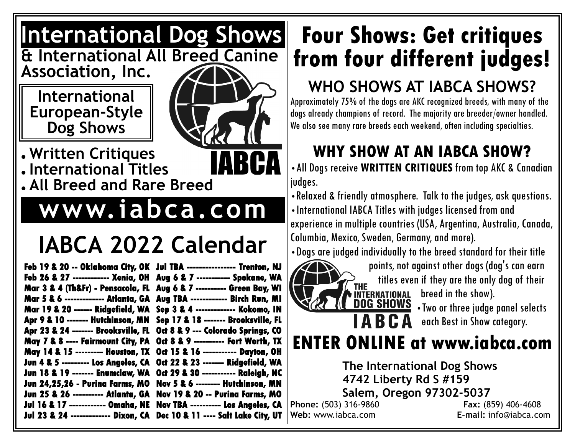#### **International Dog Shows & International All Breed Canine**

**Association, Inc.**

**International European-Style Dog Shows**



● **Written Critiques** ● **International Titles** ● **All Breed and Rare Breed**

## **www.iabca.com**

# **IABCA 2022 Calendar**

| Feb 19 & 20 -- Oklahoma City, OK Jul TBA ---------------- Trenton, NJ   |                                              |
|-------------------------------------------------------------------------|----------------------------------------------|
| Feb 26 & 27 ------------ Xenia, OH Aug 6 & 7 ----------- Spokane, WA    |                                              |
| Mar 3 & 4 (Th&Fr) - Pensacola, FL Aug 6 & 7 ---------- Green Bay, WI    |                                              |
| Mar 5 & 6 ------------- Atlanta, GA Aug TBA ------------ Birch Run, MI  |                                              |
| Mar 19 & 20 ------ Ridgefield, WA Sep 3 & 4 ------------- Kokomo, IN    |                                              |
| Apr 9 & 10 ------- Hutchinson, MN Sep 17 & 18 ------- Brooksville, FL   |                                              |
| Apr 23 & 24 ------- Brooksville, FL Oct 8 & 9 --- Colorado Springs, CO  |                                              |
| May 7 & 8 ---- Fairmount City, PA                                       | Oct 8 & 9 ---------- Fort Worth, TX          |
| May 14 & 15 --------- Houston, TX Oct 15 & 16 ----------- Dayton, OH    |                                              |
| Jun 4 & 5 --------- Los Angeles, CA  0ct 22 & 23 ------- Ridgefield, WA |                                              |
| Jun 18 & 19 ------- Enumclaw, WA Oct 29 & 30 ----------- Raleigh, NC    |                                              |
| <b>Jun 24,25,26 - Purina Farms, MO</b>                                  | <b>Nov 5 &amp; 6 -------- Hutchinson, MN</b> |
| <b>Jun 25 &amp; 26 --------- Atlanta, GA</b>                            | Nov 19 & 20 -- Purina Farms, MO              |
| <b>Jul 16 &amp; 17 ------------ Omaha, NE</b>                           | Nov TBA ---------- Los Angeles, CA           |
| Jul 23 & 24 ------------- Dixon, CA                                     | Dec 10 & 11 ---- Salt Lake City, UT          |

## **Four Shows: Get critiques from four different judges!**

#### **WHO SHOWS AT IABCA SHOWS?**

Approximately 75% of the dogs are AKC recognized breeds, with many of the dogs already champions of record. The majority are breeder/owner handled. We also see many rare breeds each weekend, often including specialties.

### **WHY SHOW AT AN IABCA SHOW?**

•All Dogs receive **WRITTEN CRITIQUES** from top AKC & Canadian judges.

•Relaxed & friendly atmosphere. Talk to the judges, ask questions. •International IABCA Titles with judges licensed from and experience in multiple countries (USA, Argentina, Australia, Canada, Columbia, Mexico, Sweden, Germany, and more).

•Dogs are judged individually to the breed standard for their title



points, not against other dogs (dog's can earn THE titles even if they are the only dog of their<br> **FINTERNATIONAL** breed in the show).<br> **DOG SHOWS** . Two or three judge panel selects breed in the show).

**DUG SHUWS**  $\cdot$  Two or three judge panel selects<br>**ABCA** each Best in Show category. each Best in Show category.

### **ENTER ONLINE at www.iabca.com**

**The International Dog Shows 4742 Liberty Rd S #159 Salem, Oregon 97302-5037 Phone:** (503) 316-9860 **Fax:** (859) 406-4608

**Web:** www.iabca.com **E-mail:** info@iabca.com